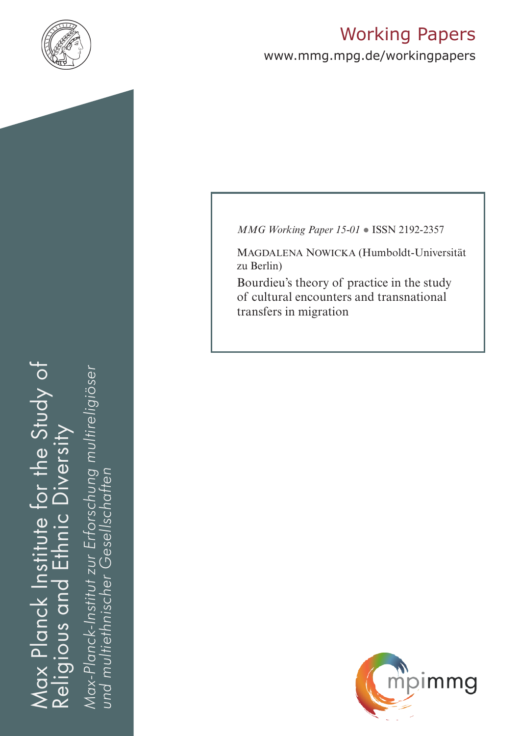

# Working Papers

www.mmg.mpg.de/workingpapers

Max Planck Institute for the Study of Religious and Ethnic Diversity ax Planck Institute for the Study of nic Diversity Eth<br>E Religious and

*Max-Planck-Institut zur Erforschung multireligiöser*  Max-Planck-Institut zur Erforschung multireligiöser *und multiethnischer Gesellschaften*und multiethnischer Gesellschatten *MMG Working Paper 15-01* ● ISSN 2192-2357

Magdalena Nowicka (Humboldt-Universität zu Berlin)

Bourdieu's theory of practice in the study of cultural encounters and transnational transfers in migration

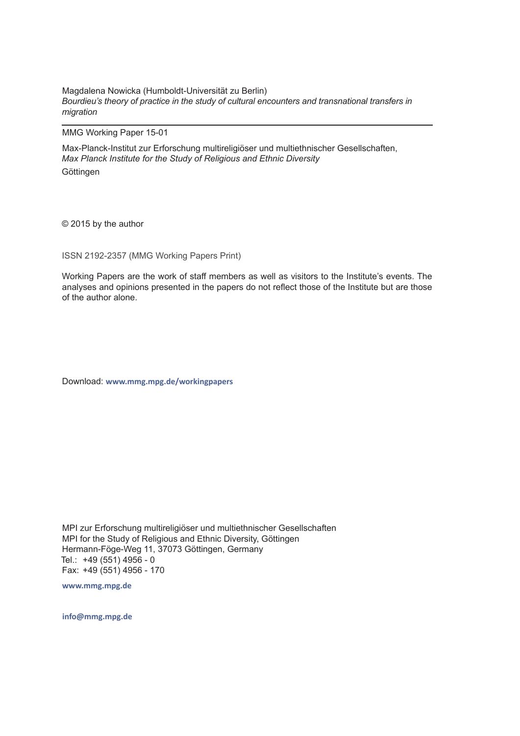Magdalena Nowicka (Humboldt-Universität zu Berlin) *Bourdieu's theory of practice in the study of cultural encounters and transnational transfers in migration* 

MMG Working Paper 15-01

Max-Planck-Institut zur Erforschung multireligiöser und multiethnischer Gesellschaften, *Max Planck Institute for the Study of Religious and Ethnic Diversity* Göttingen

© 2015 by the author

ISSN 2192-2357 (MMG Working Papers Print)

Working Papers are the work of staff members as well as visitors to the Institute's events. The analyses and opinions presented in the papers do not reflect those of the Institute but are those of the author alone.

Download: **www.mmg.mpg.de/workingpapers** 

MPI zur Erforschung multireligiöser und multiethnischer Gesellschaften MPI for the Study of Religious and Ethnic Diversity, Göttingen Hermann-Föge-Weg 11, 37073 Göttingen, Germany Tel.: +49 (551) 4956 - 0 Fax: +49 (551) 4956 - 170

**www.mmg.mpg.de**

**info@mmg.mpg.de**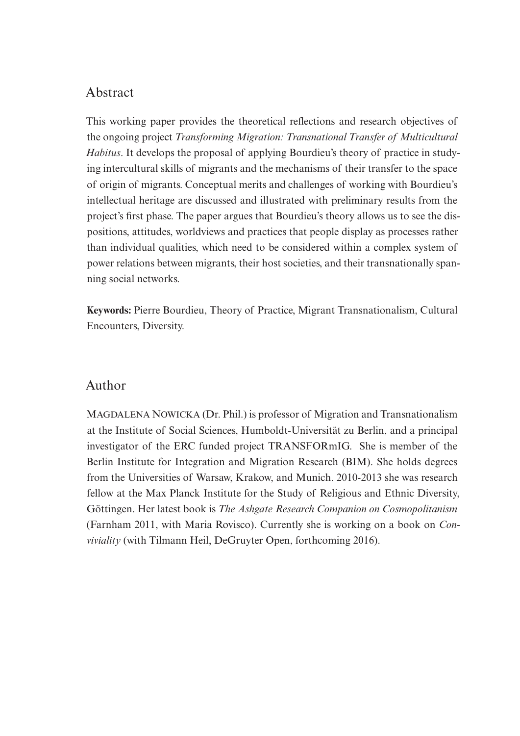### Abstract

This working paper provides the theoretical reflections and research objectives of the ongoing project *Transforming Migration: Transnational Transfer of Multicultural Habitus*. It develops the proposal of applying Bourdieu's theory of practice in studying intercultural skills of migrants and the mechanisms of their transfer to the space of origin of migrants. Conceptual merits and challenges of working with Bourdieu's intellectual heritage are discussed and illustrated with preliminary results from the project's first phase. The paper argues that Bourdieu's theory allows us to see the dispositions, attitudes, worldviews and practices that people display as processes rather than individual qualities, which need to be considered within a complex system of power relations between migrants, their host societies, and their transnationally spanning social networks.

**Keywords:** Pierre Bourdieu, Theory of Practice, Migrant Transnationalism, Cultural Encounters, Diversity.

#### Author

MAGDALENA NOWICKA (Dr. Phil.) is professor of Migration and Transnationalism at the Institute of Social Sciences, Humboldt-Universität zu Berlin, and a principal investigator of the ERC funded project TRANSFORmIG. She is member of the Berlin Institute for Integration and Migration Research (BIM). She holds degrees from the Universities of Warsaw, Krakow, and Munich. 2010-2013 she was research fellow at the Max Planck Institute for the Study of Religious and Ethnic Diversity, Göttingen. Her latest book is *The Ashgate Research Companion on Cosmopolitanism* (Farnham 2011, with Maria Rovisco). Currently she is working on a book on *Conviviality* (with Tilmann Heil, DeGruyter Open, forthcoming 2016).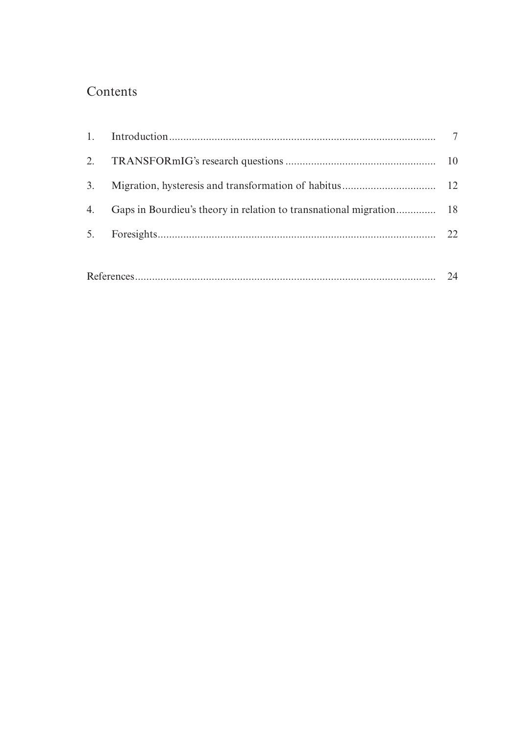# Contents

|  |  | 22 |
|--|--|----|
|  |  |    |
|  |  |    |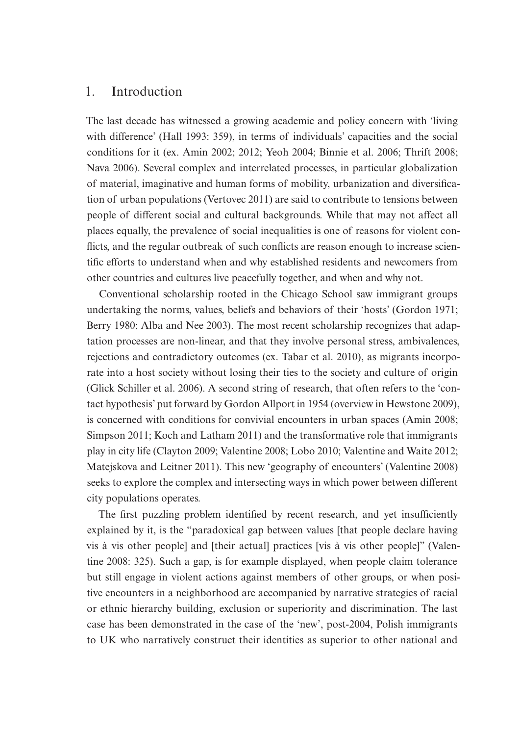#### 1. Introduction

The last decade has witnessed a growing academic and policy concern with 'living with difference' (Hall 1993: 359), in terms of individuals' capacities and the social conditions for it (ex. Amin 2002; 2012; Yeoh 2004; Binnie et al. 2006; Thrift 2008; Nava 2006). Several complex and interrelated processes, in particular globalization of material, imaginative and human forms of mobility, urbanization and diversification of urban populations (Vertovec 2011) are said to contribute to tensions between people of different social and cultural backgrounds. While that may not affect all places equally, the prevalence of social inequalities is one of reasons for violent conflicts, and the regular outbreak of such conflicts are reason enough to increase scientific efforts to understand when and why established residents and newcomers from other countries and cultures live peacefully together, and when and why not.

Conventional scholarship rooted in the Chicago School saw immigrant groups undertaking the norms, values, beliefs and behaviors of their 'hosts' (Gordon 1971; Berry 1980; Alba and Nee 2003). The most recent scholarship recognizes that adaptation processes are non-linear, and that they involve personal stress, ambivalences, rejections and contradictory outcomes (ex. Tabar et al. 2010), as migrants incorporate into a host society without losing their ties to the society and culture of origin (Glick Schiller et al. 2006). A second string of research, that often refers to the 'contact hypothesis' put forward by Gordon Allport in 1954 (overview in Hewstone 2009), is concerned with conditions for convivial encounters in urban spaces (Amin 2008; Simpson 2011; Koch and Latham 2011) and the transformative role that immigrants play in city life (Clayton 2009; Valentine 2008; Lobo 2010; Valentine and Waite 2012; Matejskova and Leitner 2011). This new 'geography of encounters' (Valentine 2008) seeks to explore the complex and intersecting ways in which power between different city populations operates.

The first puzzling problem identified by recent research, and yet insufficiently explained by it, is the "paradoxical gap between values [that people declare having vis à vis other people] and [their actual] practices [vis à vis other people]" (Valentine 2008: 325). Such a gap, is for example displayed, when people claim tolerance but still engage in violent actions against members of other groups, or when positive encounters in a neighborhood are accompanied by narrative strategies of racial or ethnic hierarchy building, exclusion or superiority and discrimination. The last case has been demonstrated in the case of the 'new', post-2004, Polish immigrants to UK who narratively construct their identities as superior to other national and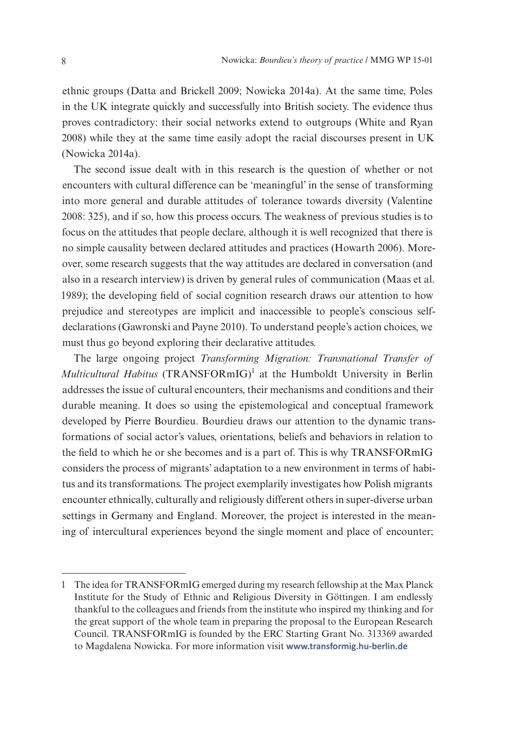ethnic groups (Datta and Brickell 2009; Nowicka 2014a). At the same time, Poles in the UK integrate quickly and successfully into British society. The evidence thus proves contradictory: their social networks extend to outgroups (White and Ryan 2008) while they at the same time easily adopt the racial discourses present in UK (Nowicka 2014a).

The second issue dealt with in this research is the question of whether or not encounters with cultural difference can be 'meaningful' in the sense of transforming into more general and durable attitudes of tolerance towards diversity (Valentine 2008: 325), and if so, how this process occurs. The weakness of previous studies is to focus on the attitudes that people declare, although it is well recognized that there is no simple causality between declared attitudes and practices (Howarth 2006). Moreover, some research suggests that the way attitudes are declared in conversation (and also in a research interview) is driven by general rules of communication (Maas et al. 1989); the developing field of social cognition research draws our attention to how prejudice and stereotypes are implicit and inaccessible to people's conscious selfdeclarations (Gawronski and Payne 2010). To understand people's action choices, we must thus go beyond exploring their declarative attitudes.

The large ongoing project *Transforming Migration: Transnational Transfer of Multicultural Habitus* (TRANSFORmIG)<sup>1</sup> at the Humboldt University in Berlin addresses the issue of cultural encounters, their mechanisms and conditions and their durable meaning. It does so using the epistemological and conceptual framework developed by Pierre Bourdieu. Bourdieu draws our attention to the dynamic transformations of social actor's values, orientations, beliefs and behaviors in relation to the field to which he or she becomes and is a part of. This is why TRANSFORmIG considers the process of migrants' adaptation to a new environment in terms of habitus and its transformations. The project exemplarily investigates how Polish migrants encounter ethnically, culturally and religiously different others in super-diverse urban settings in Germany and England. Moreover, the project is interested in the meaning of intercultural experiences beyond the single moment and place of encounter;

<sup>1</sup> The idea for TRANSFORmIG emerged during my research fellowship at the Max Planck Institute for the Study of Ethnic and Religious Diversity in Göttingen. I am endlessly thankful to the colleagues and friends from the institute who inspired my thinking and for the great support of the whole team in preparing the proposal to the European Research Council. TRANSFORmIG is founded by the ERC Starting Grant No. 313369 awarded to Magdalena Nowicka. For more information visit **[www.transformig.hu-berlin.de](http://www.transformig.hu-berlin.de)**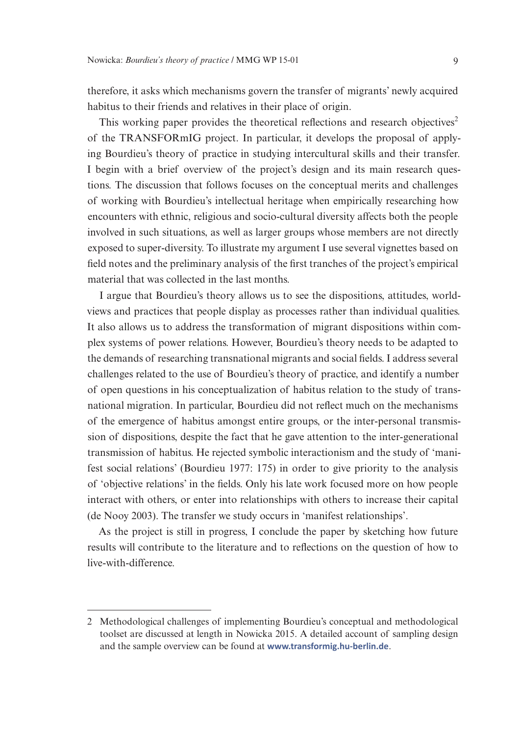therefore, it asks which mechanisms govern the transfer of migrants' newly acquired habitus to their friends and relatives in their place of origin.

This working paper provides the theoretical reflections and research objectives<sup>2</sup> of the TRANSFORmIG project. In particular, it develops the proposal of applying Bourdieu's theory of practice in studying intercultural skills and their transfer. I begin with a brief overview of the project's design and its main research questions. The discussion that follows focuses on the conceptual merits and challenges of working with Bourdieu's intellectual heritage when empirically researching how encounters with ethnic, religious and socio-cultural diversity affects both the people involved in such situations, as well as larger groups whose members are not directly exposed to super-diversity. To illustrate my argument I use several vignettes based on field notes and the preliminary analysis of the first tranches of the project's empirical material that was collected in the last months.

I argue that Bourdieu's theory allows us to see the dispositions, attitudes, worldviews and practices that people display as processes rather than individual qualities. It also allows us to address the transformation of migrant dispositions within complex systems of power relations. However, Bourdieu's theory needs to be adapted to the demands of researching transnational migrants and social fields. I address several challenges related to the use of Bourdieu's theory of practice, and identify a number of open questions in his conceptualization of habitus relation to the study of transnational migration. In particular, Bourdieu did not reflect much on the mechanisms of the emergence of habitus amongst entire groups, or the inter-personal transmission of dispositions, despite the fact that he gave attention to the inter-generational transmission of habitus. He rejected symbolic interactionism and the study of 'manifest social relations' (Bourdieu 1977: 175) in order to give priority to the analysis of 'objective relations' in the fields. Only his late work focused more on how people interact with others, or enter into relationships with others to increase their capital (de Nooy 2003). The transfer we study occurs in 'manifest relationships'.

As the project is still in progress, I conclude the paper by sketching how future results will contribute to the literature and to reflections on the question of how to live-with-difference.

<sup>2</sup> Methodological challenges of implementing Bourdieu's conceptual and methodological toolset are discussed at length in Nowicka 2015. A detailed account of sampling design and the sample overview can be found at **[www.transformig.hu-berlin.de](http://www.transformig.hu-berlin.de)**.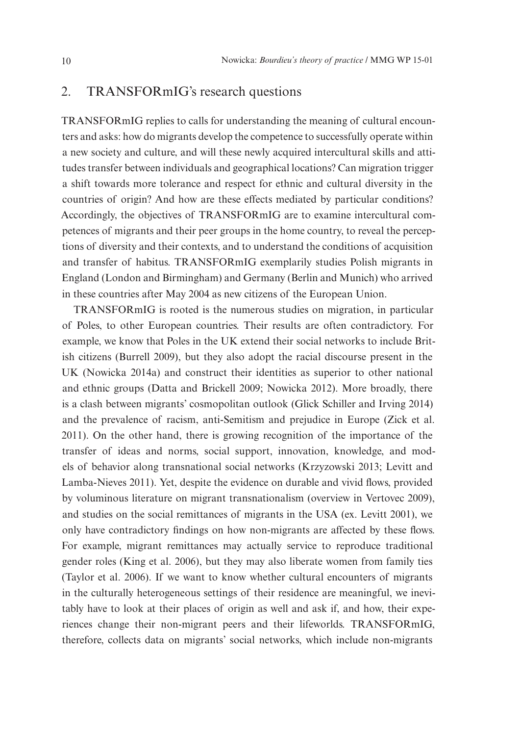#### 2. TRANSFORmIG's research questions

TRANSFORmIG replies to calls for understanding the meaning of cultural encounters and asks: how do migrants develop the competence to successfully operate within a new society and culture, and will these newly acquired intercultural skills and attitudes transfer between individuals and geographical locations? Can migration trigger a shift towards more tolerance and respect for ethnic and cultural diversity in the countries of origin? And how are these effects mediated by particular conditions? Accordingly, the objectives of TRANSFORmIG are to examine intercultural competences of migrants and their peer groups in the home country, to reveal the perceptions of diversity and their contexts, and to understand the conditions of acquisition and transfer of habitus. TRANSFORmIG exemplarily studies Polish migrants in England (London and Birmingham) and Germany (Berlin and Munich) who arrived in these countries after May 2004 as new citizens of the European Union.

TRANSFORmIG is rooted is the numerous studies on migration, in particular of Poles, to other European countries. Their results are often contradictory. For example, we know that Poles in the UK extend their social networks to include British citizens (Burrell 2009), but they also adopt the racial discourse present in the UK (Nowicka 2014a) and construct their identities as superior to other national and ethnic groups (Datta and Brickell 2009; Nowicka 2012). More broadly, there is a clash between migrants' cosmopolitan outlook (Glick Schiller and Irving 2014) and the prevalence of racism, anti-Semitism and prejudice in Europe (Zick et al. 2011). On the other hand, there is growing recognition of the importance of the transfer of ideas and norms, social support, innovation, knowledge, and models of behavior along transnational social networks (Krzyzowski 2013; Levitt and Lamba-Nieves 2011). Yet, despite the evidence on durable and vivid flows, provided by voluminous literature on migrant transnationalism (overview in Vertovec 2009), and studies on the social remittances of migrants in the USA (ex. Levitt 2001), we only have contradictory findings on how non-migrants are affected by these flows. For example, migrant remittances may actually service to reproduce traditional gender roles (King et al. 2006), but they may also liberate women from family ties (Taylor et al. 2006). If we want to know whether cultural encounters of migrants in the culturally heterogeneous settings of their residence are meaningful, we inevitably have to look at their places of origin as well and ask if, and how, their experiences change their non-migrant peers and their lifeworlds. TRANSFORmIG, therefore, collects data on migrants' social networks, which include non-migrants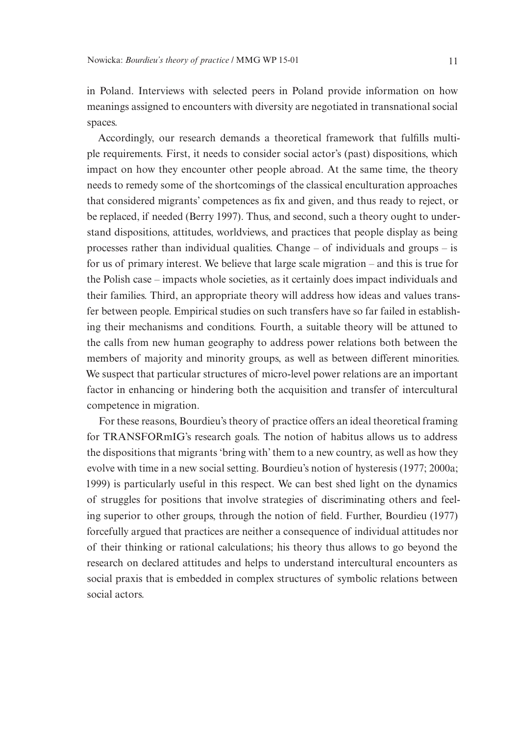in Poland. Interviews with selected peers in Poland provide information on how meanings assigned to encounters with diversity are negotiated in transnational social spaces.

Accordingly, our research demands a theoretical framework that fulfills multiple requirements. First, it needs to consider social actor's (past) dispositions, which impact on how they encounter other people abroad. At the same time, the theory needs to remedy some of the shortcomings of the classical enculturation approaches that considered migrants' competences as fix and given, and thus ready to reject, or be replaced, if needed (Berry 1997). Thus, and second, such a theory ought to understand dispositions, attitudes, worldviews, and practices that people display as being processes rather than individual qualities. Change – of individuals and groups – is for us of primary interest. We believe that large scale migration – and this is true for the Polish case – impacts whole societies, as it certainly does impact individuals and their families. Third, an appropriate theory will address how ideas and values transfer between people. Empirical studies on such transfers have so far failed in establishing their mechanisms and conditions. Fourth, a suitable theory will be attuned to the calls from new human geography to address power relations both between the members of majority and minority groups, as well as between different minorities. We suspect that particular structures of micro-level power relations are an important factor in enhancing or hindering both the acquisition and transfer of intercultural competence in migration.

For these reasons, Bourdieu's theory of practice offers an ideal theoretical framing for TRANSFORmIG's research goals. The notion of habitus allows us to address the dispositions that migrants 'bring with' them to a new country, as well as how they evolve with time in a new social setting. Bourdieu's notion of hysteresis (1977; 2000a; 1999) is particularly useful in this respect. We can best shed light on the dynamics of struggles for positions that involve strategies of discriminating others and feeling superior to other groups, through the notion of field. Further, Bourdieu (1977) forcefully argued that practices are neither a consequence of individual attitudes nor of their thinking or rational calculations; his theory thus allows to go beyond the research on declared attitudes and helps to understand intercultural encounters as social praxis that is embedded in complex structures of symbolic relations between social actors.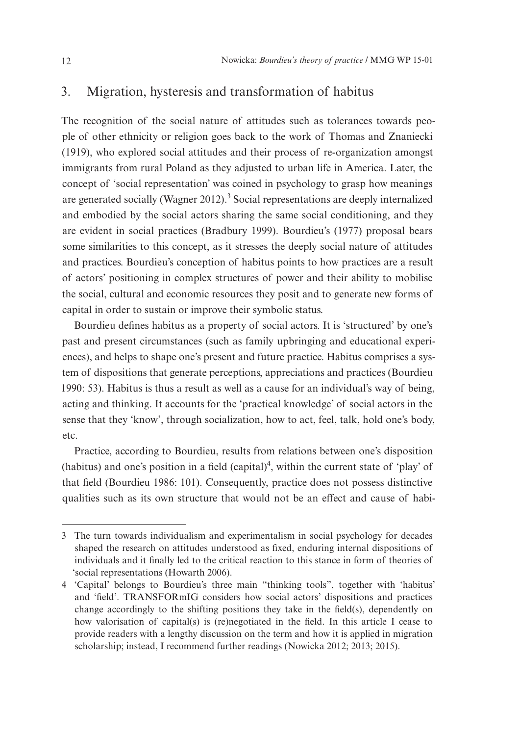#### 3. Migration, hysteresis and transformation of habitus

The recognition of the social nature of attitudes such as tolerances towards people of other ethnicity or religion goes back to the work of Thomas and Znaniecki (1919), who explored social attitudes and their process of re-organization amongst immigrants from rural Poland as they adjusted to urban life in America. Later, the concept of 'social representation' was coined in psychology to grasp how meanings are generated socially (Wagner 2012).<sup>3</sup> Social representations are deeply internalized and embodied by the social actors sharing the same social conditioning, and they are evident in social practices (Bradbury 1999). Bourdieu's (1977) proposal bears some similarities to this concept, as it stresses the deeply social nature of attitudes and practices. Bourdieu's conception of habitus points to how practices are a result of actors' positioning in complex structures of power and their ability to mobilise the social, cultural and economic resources they posit and to generate new forms of capital in order to sustain or improve their symbolic status.

Bourdieu defines habitus as a property of social actors. It is 'structured' by one's past and present circumstances (such as family upbringing and educational experiences), and helps to shape one's present and future practice. Habitus comprises a system of dispositions that generate perceptions, appreciations and practices (Bourdieu 1990: 53). Habitus is thus a result as well as a cause for an individual's way of being, acting and thinking. It accounts for the 'practical knowledge' of social actors in the sense that they 'know', through socialization, how to act, feel, talk, hold one's body, etc.

Practice, according to Bourdieu, results from relations between one's disposition (habitus) and one's position in a field  $(capital)^4$ , within the current state of 'play' of that field (Bourdieu 1986: 101). Consequently, practice does not possess distinctive qualities such as its own structure that would not be an effect and cause of habi-

<sup>3</sup> The turn towards individualism and experimentalism in social psychology for decades shaped the research on attitudes understood as fixed, enduring internal dispositions of individuals and it finally led to the critical reaction to this stance in form of theories of 'social representations (Howarth 2006).

<sup>4</sup> 'Capital' belongs to Bourdieu's three main "thinking tools", together with 'habitus' and 'field'. TRANSFORmIG considers how social actors' dispositions and practices change accordingly to the shifting positions they take in the field(s), dependently on how valorisation of capital(s) is (re)negotiated in the field. In this article I cease to provide readers with a lengthy discussion on the term and how it is applied in migration scholarship; instead, I recommend further readings (Nowicka 2012; 2013; 2015).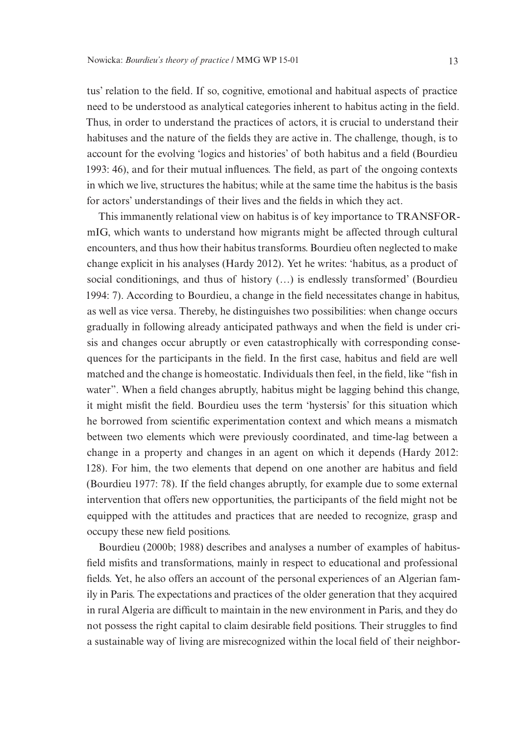tus' relation to the field. If so, cognitive, emotional and habitual aspects of practice need to be understood as analytical categories inherent to habitus acting in the field. Thus, in order to understand the practices of actors, it is crucial to understand their habituses and the nature of the fields they are active in. The challenge, though, is to account for the evolving 'logics and histories' of both habitus and a field (Bourdieu 1993: 46), and for their mutual influences. The field, as part of the ongoing contexts in which we live, structures the habitus; while at the same time the habitus is the basis for actors' understandings of their lives and the fields in which they act.

This immanently relational view on habitus is of key importance to TRANSFORmIG, which wants to understand how migrants might be affected through cultural encounters, and thus how their habitus transforms. Bourdieu often neglected to make change explicit in his analyses (Hardy 2012). Yet he writes: 'habitus, as a product of social conditionings, and thus of history (…) is endlessly transformed' (Bourdieu 1994: 7). According to Bourdieu, a change in the field necessitates change in habitus, as well as vice versa. Thereby, he distinguishes two possibilities: when change occurs gradually in following already anticipated pathways and when the field is under crisis and changes occur abruptly or even catastrophically with corresponding consequences for the participants in the field. In the first case, habitus and field are well matched and the change is homeostatic. Individuals then feel, in the field, like "fish in water". When a field changes abruptly, habitus might be lagging behind this change, it might misfit the field. Bourdieu uses the term 'hystersis' for this situation which he borrowed from scientific experimentation context and which means a mismatch between two elements which were previously coordinated, and time-lag between a change in a property and changes in an agent on which it depends (Hardy 2012: 128). For him, the two elements that depend on one another are habitus and field (Bourdieu 1977: 78). If the field changes abruptly, for example due to some external intervention that offers new opportunities, the participants of the field might not be equipped with the attitudes and practices that are needed to recognize, grasp and occupy these new field positions.

Bourdieu (2000b; 1988) describes and analyses a number of examples of habitusfield misfits and transformations, mainly in respect to educational and professional fields. Yet, he also offers an account of the personal experiences of an Algerian family in Paris. The expectations and practices of the older generation that they acquired in rural Algeria are difficult to maintain in the new environment in Paris, and they do not possess the right capital to claim desirable field positions. Their struggles to find a sustainable way of living are misrecognized within the local field of their neighbor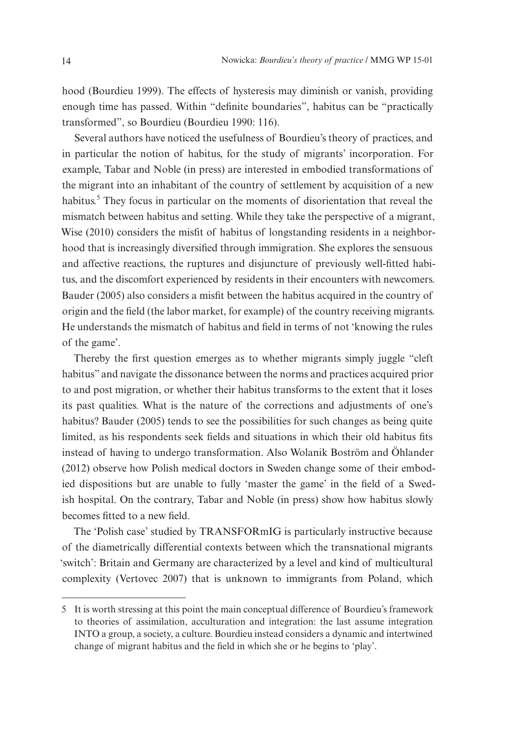hood (Bourdieu 1999). The effects of hysteresis may diminish or vanish, providing enough time has passed. Within "definite boundaries", habitus can be "practically transformed", so Bourdieu (Bourdieu 1990: 116).

Several authors have noticed the usefulness of Bourdieu's theory of practices, and in particular the notion of habitus, for the study of migrants' incorporation. For example, Tabar and Noble (in press) are interested in embodied transformations of the migrant into an inhabitant of the country of settlement by acquisition of a new habitus.<sup>5</sup> They focus in particular on the moments of disorientation that reveal the mismatch between habitus and setting. While they take the perspective of a migrant, Wise (2010) considers the misfit of habitus of longstanding residents in a neighborhood that is increasingly diversified through immigration. She explores the sensuous and affective reactions, the ruptures and disjuncture of previously well-fitted habitus, and the discomfort experienced by residents in their encounters with newcomers. Bauder (2005) also considers a misfit between the habitus acquired in the country of origin and the field (the labor market, for example) of the country receiving migrants. He understands the mismatch of habitus and field in terms of not 'knowing the rules of the game'.

Thereby the first question emerges as to whether migrants simply juggle "cleft habitus" and navigate the dissonance between the norms and practices acquired prior to and post migration, or whether their habitus transforms to the extent that it loses its past qualities. What is the nature of the corrections and adjustments of one's habitus? Bauder (2005) tends to see the possibilities for such changes as being quite limited, as his respondents seek fields and situations in which their old habitus fits instead of having to undergo transformation. Also Wolanik Boström and Öhlander (2012) observe how Polish medical doctors in Sweden change some of their embodied dispositions but are unable to fully 'master the game' in the field of a Swedish hospital. On the contrary, Tabar and Noble (in press) show how habitus slowly becomes fitted to a new field.

The 'Polish case' studied by TRANSFORmIG is particularly instructive because of the diametrically differential contexts between which the transnational migrants 'switch': Britain and Germany are characterized by a level and kind of multicultural complexity (Vertovec 2007) that is unknown to immigrants from Poland, which

<sup>5</sup> It is worth stressing at this point the main conceptual difference of Bourdieu's framework to theories of assimilation, acculturation and integration: the last assume integration INTO a group, a society, a culture. Bourdieu instead considers a dynamic and intertwined change of migrant habitus and the field in which she or he begins to 'play'.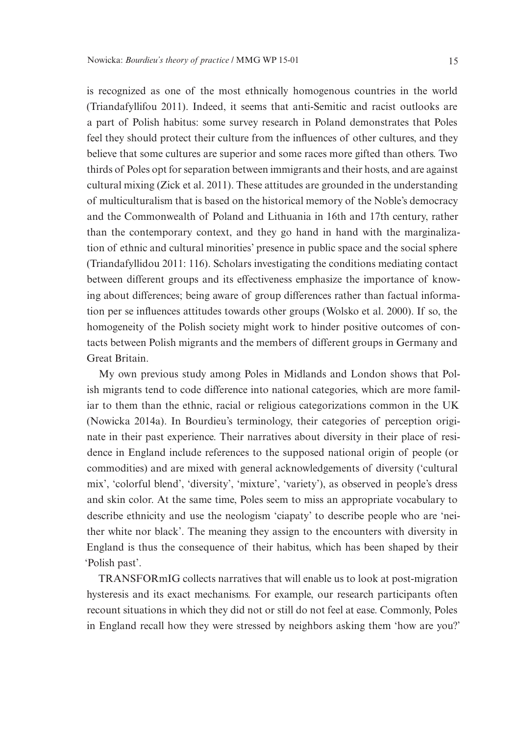is recognized as one of the most ethnically homogenous countries in the world (Triandafyllifou 2011). Indeed, it seems that anti-Semitic and racist outlooks are a part of Polish habitus: some survey research in Poland demonstrates that Poles feel they should protect their culture from the influences of other cultures, and they believe that some cultures are superior and some races more gifted than others. Two thirds of Poles opt for separation between immigrants and their hosts, and are against cultural mixing (Zick et al. 2011). These attitudes are grounded in the understanding of multiculturalism that is based on the historical memory of the Noble's democracy and the Commonwealth of Poland and Lithuania in 16th and 17th century, rather than the contemporary context, and they go hand in hand with the marginalization of ethnic and cultural minorities' presence in public space and the social sphere (Triandafyllidou 2011: 116). Scholars investigating the conditions mediating contact between different groups and its effectiveness emphasize the importance of knowing about differences; being aware of group differences rather than factual information per se influences attitudes towards other groups (Wolsko et al. 2000). If so, the homogeneity of the Polish society might work to hinder positive outcomes of contacts between Polish migrants and the members of different groups in Germany and Great Britain.

My own previous study among Poles in Midlands and London shows that Polish migrants tend to code difference into national categories, which are more familiar to them than the ethnic, racial or religious categorizations common in the UK (Nowicka 2014a). In Bourdieu's terminology, their categories of perception originate in their past experience. Their narratives about diversity in their place of residence in England include references to the supposed national origin of people (or commodities) and are mixed with general acknowledgements of diversity ('cultural mix', 'colorful blend', 'diversity', 'mixture', 'variety'), as observed in people's dress and skin color. At the same time, Poles seem to miss an appropriate vocabulary to describe ethnicity and use the neologism 'ciapaty' to describe people who are 'neither white nor black'. The meaning they assign to the encounters with diversity in England is thus the consequence of their habitus, which has been shaped by their 'Polish past'.

TRANSFORmIG collects narratives that will enable us to look at post-migration hysteresis and its exact mechanisms. For example, our research participants often recount situations in which they did not or still do not feel at ease. Commonly, Poles in England recall how they were stressed by neighbors asking them 'how are you?'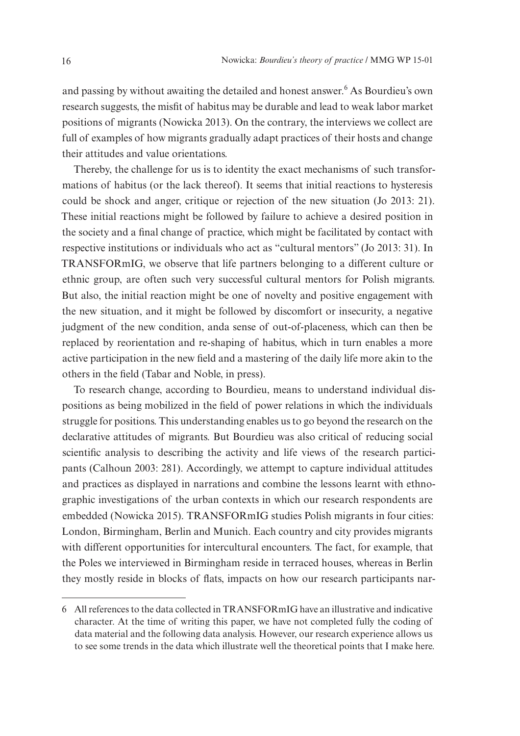and passing by without awaiting the detailed and honest answer.<sup>6</sup> As Bourdieu's own research suggests, the misfit of habitus may be durable and lead to weak labor market positions of migrants (Nowicka 2013). On the contrary, the interviews we collect are full of examples of how migrants gradually adapt practices of their hosts and change their attitudes and value orientations.

Thereby, the challenge for us is to identity the exact mechanisms of such transformations of habitus (or the lack thereof). It seems that initial reactions to hysteresis could be shock and anger, critique or rejection of the new situation (Jo 2013: 21). These initial reactions might be followed by failure to achieve a desired position in the society and a final change of practice, which might be facilitated by contact with respective institutions or individuals who act as "cultural mentors" (Jo 2013: 31). In TRANSFORmIG, we observe that life partners belonging to a different culture or ethnic group, are often such very successful cultural mentors for Polish migrants. But also, the initial reaction might be one of novelty and positive engagement with the new situation, and it might be followed by discomfort or insecurity, a negative judgment of the new condition, anda sense of out-of-placeness, which can then be replaced by reorientation and re-shaping of habitus, which in turn enables a more active participation in the new field and a mastering of the daily life more akin to the others in the field (Tabar and Noble, in press).

To research change, according to Bourdieu, means to understand individual dispositions as being mobilized in the field of power relations in which the individuals struggle for positions. This understanding enables us to go beyond the research on the declarative attitudes of migrants. But Bourdieu was also critical of reducing social scientific analysis to describing the activity and life views of the research participants (Calhoun 2003: 281). Accordingly, we attempt to capture individual attitudes and practices as displayed in narrations and combine the lessons learnt with ethnographic investigations of the urban contexts in which our research respondents are embedded (Nowicka 2015). TRANSFORmIG studies Polish migrants in four cities: London, Birmingham, Berlin and Munich. Each country and city provides migrants with different opportunities for intercultural encounters. The fact, for example, that the Poles we interviewed in Birmingham reside in terraced houses, whereas in Berlin they mostly reside in blocks of flats, impacts on how our research participants nar-

<sup>6</sup> All references to the data collected in TRANSFORmIG have an illustrative and indicative character. At the time of writing this paper, we have not completed fully the coding of data material and the following data analysis. However, our research experience allows us to see some trends in the data which illustrate well the theoretical points that I make here.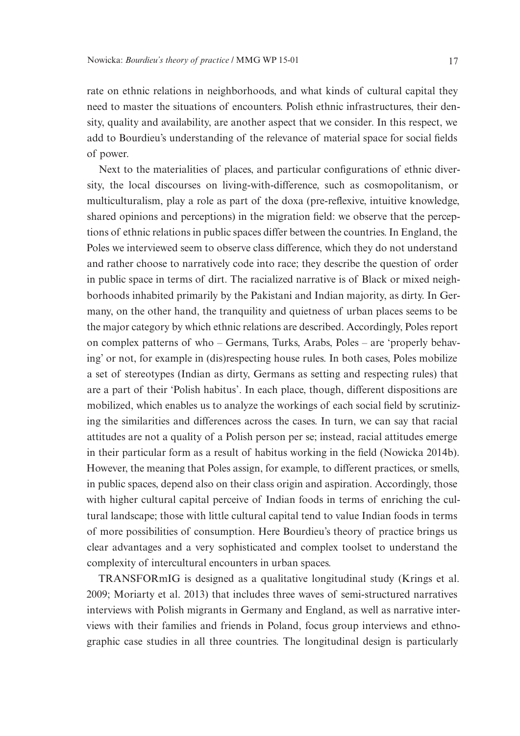rate on ethnic relations in neighborhoods, and what kinds of cultural capital they need to master the situations of encounters. Polish ethnic infrastructures, their density, quality and availability, are another aspect that we consider. In this respect, we add to Bourdieu's understanding of the relevance of material space for social fields of power.

Next to the materialities of places, and particular configurations of ethnic diversity, the local discourses on living-with-difference, such as cosmopolitanism, or multiculturalism, play a role as part of the doxa (pre-reflexive, intuitive knowledge, shared opinions and perceptions) in the migration field: we observe that the perceptions of ethnic relations in public spaces differ between the countries. In England, the Poles we interviewed seem to observe class difference, which they do not understand and rather choose to narratively code into race; they describe the question of order in public space in terms of dirt. The racialized narrative is of Black or mixed neighborhoods inhabited primarily by the Pakistani and Indian majority, as dirty. In Germany, on the other hand, the tranquility and quietness of urban places seems to be the major category by which ethnic relations are described. Accordingly, Poles report on complex patterns of who – Germans, Turks, Arabs, Poles – are 'properly behaving' or not, for example in (dis)respecting house rules. In both cases, Poles mobilize a set of stereotypes (Indian as dirty, Germans as setting and respecting rules) that are a part of their 'Polish habitus'. In each place, though, different dispositions are mobilized, which enables us to analyze the workings of each social field by scrutinizing the similarities and differences across the cases. In turn, we can say that racial attitudes are not a quality of a Polish person per se; instead, racial attitudes emerge in their particular form as a result of habitus working in the field (Nowicka 2014b). However, the meaning that Poles assign, for example, to different practices, or smells, in public spaces, depend also on their class origin and aspiration. Accordingly, those with higher cultural capital perceive of Indian foods in terms of enriching the cultural landscape; those with little cultural capital tend to value Indian foods in terms of more possibilities of consumption. Here Bourdieu's theory of practice brings us clear advantages and a very sophisticated and complex toolset to understand the complexity of intercultural encounters in urban spaces.

TRANSFORmIG is designed as a qualitative longitudinal study (Krings et al. 2009; Moriarty et al. 2013) that includes three waves of semi-structured narratives interviews with Polish migrants in Germany and England, as well as narrative interviews with their families and friends in Poland, focus group interviews and ethnographic case studies in all three countries. The longitudinal design is particularly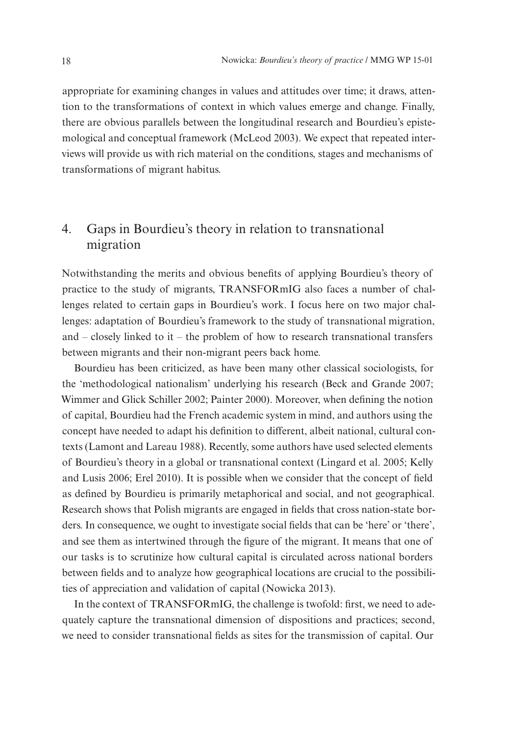appropriate for examining changes in values and attitudes over time; it draws, attention to the transformations of context in which values emerge and change. Finally, there are obvious parallels between the longitudinal research and Bourdieu's epistemological and conceptual framework (McLeod 2003). We expect that repeated interviews will provide us with rich material on the conditions, stages and mechanisms of transformations of migrant habitus.

## 4. Gaps in Bourdieu's theory in relation to transnational migration

Notwithstanding the merits and obvious benefits of applying Bourdieu's theory of practice to the study of migrants, TRANSFORmIG also faces a number of challenges related to certain gaps in Bourdieu's work. I focus here on two major challenges: adaptation of Bourdieu's framework to the study of transnational migration, and – closely linked to it – the problem of how to research transnational transfers between migrants and their non-migrant peers back home.

Bourdieu has been criticized, as have been many other classical sociologists, for the 'methodological nationalism' underlying his research (Beck and Grande 2007; Wimmer and Glick Schiller 2002; Painter 2000). Moreover, when defining the notion of capital, Bourdieu had the French academic system in mind, and authors using the concept have needed to adapt his definition to different, albeit national, cultural contexts (Lamont and Lareau 1988). Recently, some authors have used selected elements of Bourdieu's theory in a global or transnational context (Lingard et al. 2005; Kelly and Lusis 2006; Erel 2010). It is possible when we consider that the concept of field as defined by Bourdieu is primarily metaphorical and social, and not geographical. Research shows that Polish migrants are engaged in fields that cross nation-state borders. In consequence, we ought to investigate social fields that can be 'here' or 'there', and see them as intertwined through the figure of the migrant. It means that one of our tasks is to scrutinize how cultural capital is circulated across national borders between fields and to analyze how geographical locations are crucial to the possibilities of appreciation and validation of capital (Nowicka 2013).

In the context of TRANSFORmIG, the challenge is twofold: first, we need to adequately capture the transnational dimension of dispositions and practices; second, we need to consider transnational fields as sites for the transmission of capital. Our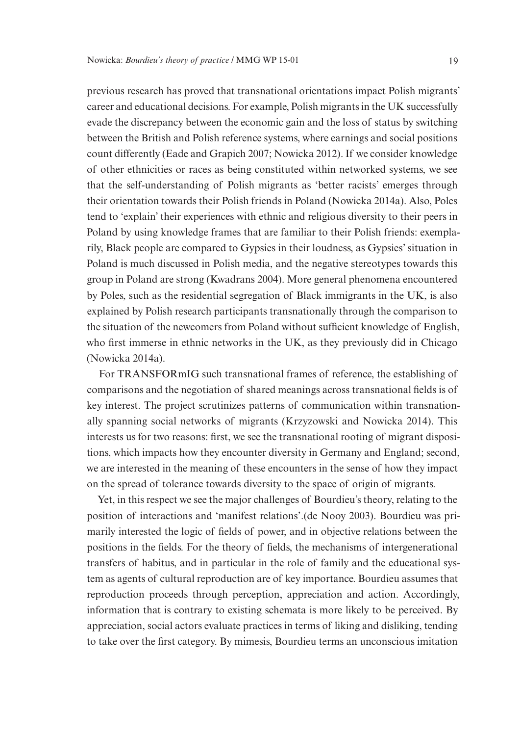previous research has proved that transnational orientations impact Polish migrants' career and educational decisions. For example, Polish migrants in the UK successfully evade the discrepancy between the economic gain and the loss of status by switching between the British and Polish reference systems, where earnings and social positions count differently (Eade and Grapich 2007; Nowicka 2012). If we consider knowledge of other ethnicities or races as being constituted within networked systems, we see that the self-understanding of Polish migrants as 'better racists' emerges through their orientation towards their Polish friends in Poland (Nowicka 2014a). Also, Poles tend to 'explain' their experiences with ethnic and religious diversity to their peers in Poland by using knowledge frames that are familiar to their Polish friends: exemplarily, Black people are compared to Gypsies in their loudness, as Gypsies' situation in Poland is much discussed in Polish media, and the negative stereotypes towards this group in Poland are strong (Kwadrans 2004). More general phenomena encountered by Poles, such as the residential segregation of Black immigrants in the UK, is also explained by Polish research participants transnationally through the comparison to the situation of the newcomers from Poland without sufficient knowledge of English, who first immerse in ethnic networks in the UK, as they previously did in Chicago (Nowicka 2014a).

For TRANSFORmIG such transnational frames of reference, the establishing of comparisons and the negotiation of shared meanings across transnational fields is of key interest. The project scrutinizes patterns of communication within transnationally spanning social networks of migrants (Krzyzowski and Nowicka 2014). This interests us for two reasons: first, we see the transnational rooting of migrant dispositions, which impacts how they encounter diversity in Germany and England; second, we are interested in the meaning of these encounters in the sense of how they impact on the spread of tolerance towards diversity to the space of origin of migrants.

Yet, in this respect we see the major challenges of Bourdieu's theory, relating to the position of interactions and 'manifest relations'.(de Nooy 2003). Bourdieu was primarily interested the logic of fields of power, and in objective relations between the positions in the fields. For the theory of fields, the mechanisms of intergenerational transfers of habitus, and in particular in the role of family and the educational system as agents of cultural reproduction are of key importance. Bourdieu assumes that reproduction proceeds through perception, appreciation and action. Accordingly, information that is contrary to existing schemata is more likely to be perceived. By appreciation, social actors evaluate practices in terms of liking and disliking, tending to take over the first category. By mimesis, Bourdieu terms an unconscious imitation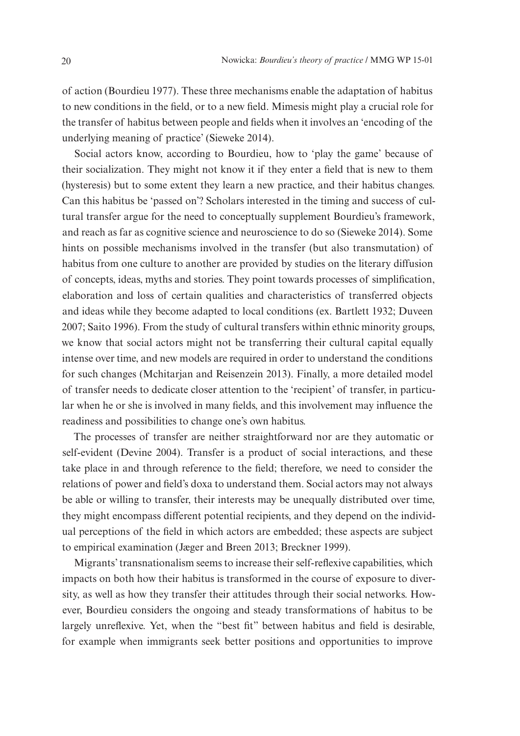of action (Bourdieu 1977). These three mechanisms enable the adaptation of habitus to new conditions in the field, or to a new field. Mimesis might play a crucial role for the transfer of habitus between people and fields when it involves an 'encoding of the underlying meaning of practice' (Sieweke 2014).

Social actors know, according to Bourdieu, how to 'play the game' because of their socialization. They might not know it if they enter a field that is new to them (hysteresis) but to some extent they learn a new practice, and their habitus changes. Can this habitus be 'passed on'? Scholars interested in the timing and success of cultural transfer argue for the need to conceptually supplement Bourdieu's framework, and reach as far as cognitive science and neuroscience to do so (Sieweke 2014). Some hints on possible mechanisms involved in the transfer (but also transmutation) of habitus from one culture to another are provided by studies on the literary diffusion of concepts, ideas, myths and stories. They point towards processes of simplification, elaboration and loss of certain qualities and characteristics of transferred objects and ideas while they become adapted to local conditions (ex. Bartlett 1932; Duveen 2007; Saito 1996). From the study of cultural transfers within ethnic minority groups, we know that social actors might not be transferring their cultural capital equally intense over time, and new models are required in order to understand the conditions for such changes (Mchitarjan and Reisenzein 2013). Finally, a more detailed model of transfer needs to dedicate closer attention to the 'recipient' of transfer, in particular when he or she is involved in many fields, and this involvement may influence the readiness and possibilities to change one's own habitus.

The processes of transfer are neither straightforward nor are they automatic or [self-evident](http://www.merriam-webster.com/dictionary/self-evident) (Devine 2004). Transfer is a product of social interactions, and these take place in and through reference to the field; therefore, we need to consider the relations of power and field's doxa to understand them. Social actors may not always be able or willing to transfer, their interests may be unequally distributed over time, they might encompass different potential recipients, and they depend on the individual perceptions of the field in which actors are embedded; these aspects are subject to empirical examination (Jæger and Breen 2013; Breckner 1999).

Migrants' transnationalism seems to increase their self-reflexive capabilities, which impacts on both how their habitus is transformed in the course of exposure to diversity, as well as how they transfer their attitudes through their social networks. However, Bourdieu considers the ongoing and steady transformations of habitus to be largely unreflexive. Yet, when the "best fit" between habitus and field is desirable, for example when immigrants seek better positions and opportunities to improve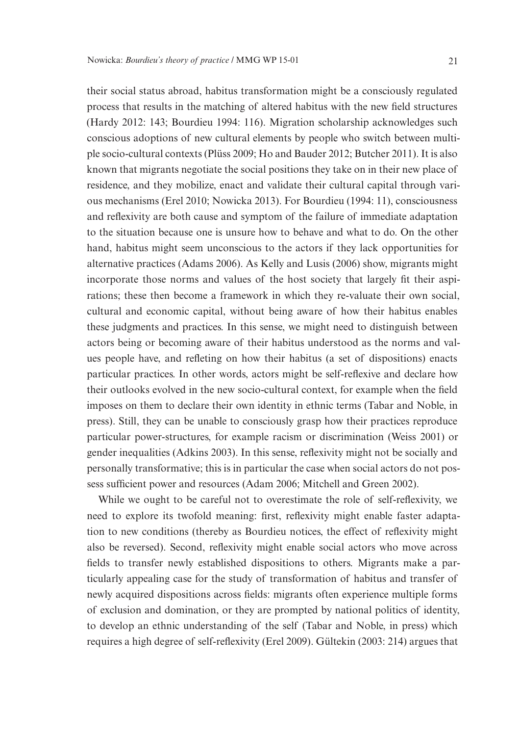their social status abroad, habitus transformation might be a consciously regulated process that results in the matching of altered habitus with the new field structures (Hardy 2012: 143; Bourdieu 1994: 116). Migration scholarship acknowledges such conscious adoptions of new cultural elements by people who switch between multiple socio-cultural contexts (Plüss 2009; Ho and Bauder 2012; Butcher 2011). It is also known that migrants negotiate the social positions they take on in their new place of residence, and they mobilize, enact and validate their cultural capital through various mechanisms (Erel 2010; Nowicka 2013). For Bourdieu (1994: 11), consciousness and reflexivity are both cause and symptom of the failure of immediate adaptation to the situation because one is unsure how to behave and what to do. On the other hand, habitus might seem unconscious to the actors if they lack opportunities for alternative practices (Adams 2006). As Kelly and Lusis (2006) show, migrants might incorporate those norms and values of the host society that largely fit their aspirations; these then become a framework in which they re-valuate their own social, cultural and economic capital, without being aware of how their habitus enables these judgments and practices. In this sense, we might need to distinguish between actors being or becoming aware of their habitus understood as the norms and values people have, and refleting on how their habitus (a set of dispositions) enacts particular practices. In other words, actors might be self-reflexive and declare how their outlooks evolved in the new socio-cultural context, for example when the field imposes on them to declare their own identity in ethnic terms (Tabar and Noble, in press). Still, they can be unable to consciously grasp how their practices reproduce particular power-structures, for example racism or discrimination (Weiss 2001) or gender inequalities (Adkins 2003). In this sense, reflexivity might not be socially and personally transformative; this is in particular the case when social actors do not possess sufficient power and resources (Adam 2006; Mitchell and Green 2002).

While we ought to be careful not to overestimate the role of self-reflexivity, we need to explore its twofold meaning: first, reflexivity might enable faster adaptation to new conditions (thereby as Bourdieu notices, the effect of reflexivity might also be reversed). Second, reflexivity might enable social actors who move across fields to transfer newly established dispositions to others. Migrants make a particularly appealing case for the study of transformation of habitus and transfer of newly acquired dispositions across fields: migrants often experience multiple forms of exclusion and domination, or they are prompted by national politics of identity, to develop an ethnic understanding of the self (Tabar and Noble, in press) which requires a high degree of self-reflexivity (Erel 2009). Gültekin (2003: 214) argues that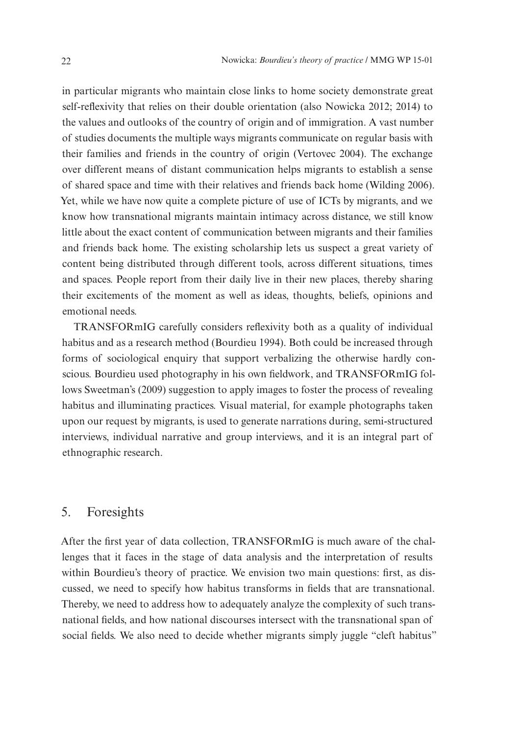in particular migrants who maintain close links to home society demonstrate great self-reflexivity that relies on their double orientation (also Nowicka 2012; 2014) to the values and outlooks of the country of origin and of immigration. A vast number of studies documents the multiple ways migrants communicate on regular basis with their families and friends in the country of origin (Vertovec 2004). The exchange over different means of distant communication helps migrants to establish a sense of shared space and time with their relatives and friends back home (Wilding 2006). Yet, while we have now quite a complete picture of use of ICTs by migrants, and we know how transnational migrants maintain intimacy across distance, we still know little about the exact content of communication between migrants and their families and friends back home. The existing scholarship lets us suspect a great variety of content being distributed through different tools, across different situations, times and spaces. People report from their daily live in their new places, thereby sharing their excitements of the moment as well as ideas, thoughts, beliefs, opinions and emotional needs.

TRANSFORmIG carefully considers reflexivity both as a quality of individual habitus and as a research method (Bourdieu 1994). Both could be increased through forms of sociological enquiry that support verbalizing the otherwise hardly conscious. Bourdieu used photography in his own fieldwork, and TRANSFORmIG follows Sweetman's (2009) suggestion to apply images to foster the process of revealing habitus and illuminating practices. Visual material, for example photographs taken upon our request by migrants, is used to generate narrations during, semi-structured interviews, individual narrative and group interviews, and it is an integral part of ethnographic research.

#### 5. Foresights

After the first year of data collection, TRANSFORmIG is much aware of the challenges that it faces in the stage of data analysis and the interpretation of results within Bourdieu's theory of practice. We envision two main questions: first, as discussed, we need to specify how habitus transforms in fields that are transnational. Thereby, we need to address how to adequately analyze the complexity of such transnational fields, and how national discourses intersect with the transnational span of social fields. We also need to decide whether migrants simply juggle "cleft habitus"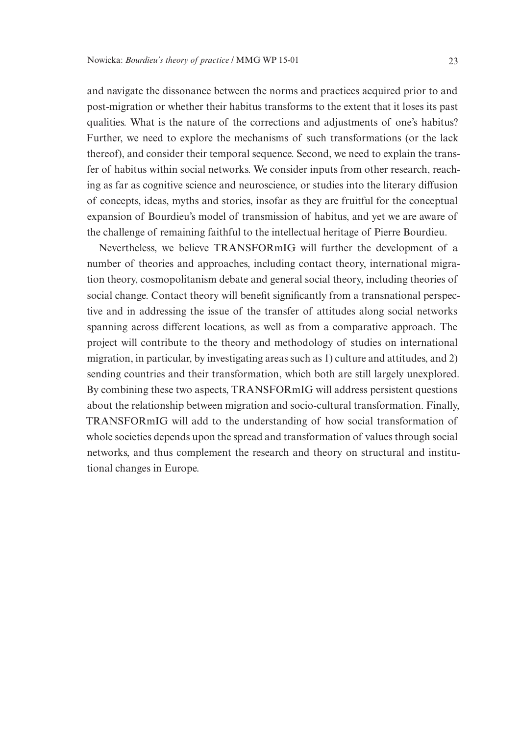and navigate the dissonance between the norms and practices acquired prior to and post-migration or whether their habitus transforms to the extent that it loses its past qualities. What is the nature of the corrections and adjustments of one's habitus? Further, we need to explore the mechanisms of such transformations (or the lack thereof), and consider their temporal sequence. Second, we need to explain the transfer of habitus within social networks. We consider inputs from other research, reaching as far as cognitive science and neuroscience, or studies into the literary diffusion of concepts, ideas, myths and stories, insofar as they are fruitful for the conceptual expansion of Bourdieu's model of transmission of habitus, and yet we are aware of the challenge of remaining faithful to the intellectual heritage of Pierre Bourdieu.

Nevertheless, we believe TRANSFORmIG will further the development of a number of theories and approaches, including contact theory, international migration theory, cosmopolitanism debate and general social theory, including theories of social change. Contact theory will benefit significantly from a transnational perspective and in addressing the issue of the transfer of attitudes along social networks spanning across different locations, as well as from a comparative approach. The project will contribute to the theory and methodology of studies on international migration, in particular, by investigating areas such as 1) culture and attitudes, and 2) sending countries and their transformation, which both are still largely unexplored. By combining these two aspects, TRANSFORmIG will address persistent questions about the relationship between migration and socio-cultural transformation. Finally, TRANSFORmIG will add to the understanding of how social transformation of whole societies depends upon the spread and transformation of values through social networks, and thus complement the research and theory on structural and institutional changes in Europe.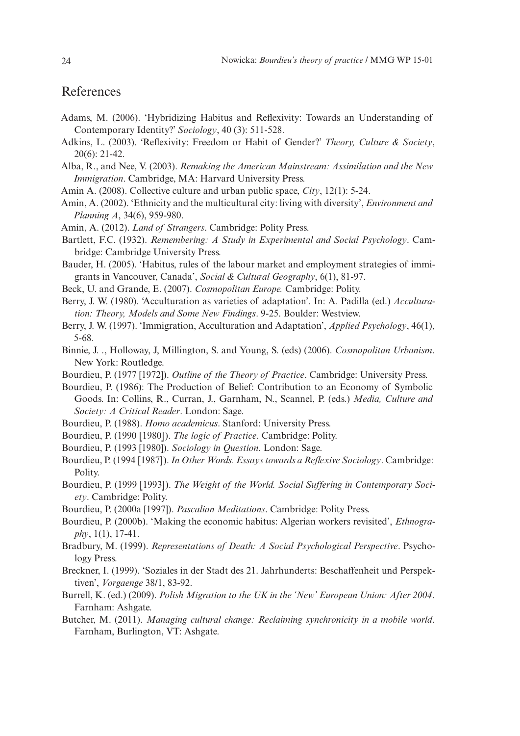#### References

- Adams, M. (2006). 'Hybridizing Habitus and Reflexivity: Towards an Understanding of Contemporary Identity?' *Sociology*, 40 (3): 511-528.
- Adkins, L. (2003). 'Reflexivity: Freedom or Habit of Gender?' *Theory, Culture & Society*, 20(6): 21-42.
- Alba, R., and Nee, V. (2003). *Remaking the American Mainstream: Assimilation and the New Immigration*. Cambridge, MA: Harvard University Press.
- Amin A. (2008). Collective culture and urban public space, *City*, 12(1): 5-24.
- Amin, A. (2002). 'Ethnicity and the multicultural city: living with diversity', *Environment and Planning A*, 34(6), 959-980.
- Amin, A. (2012). *Land of Strangers*. Cambridge: Polity Press.
- Bartlett, F.C. (1932). *Remembering: A Study in Experimental and Social Psychology*. Cambridge: Cambridge University Press.
- Bauder, H. (2005). 'Habitus, rules of the labour market and employment strategies of immigrants in Vancouver, Canada', *Social & Cultural Geography*, 6(1), 81-97.
- Beck, U. and Grande, E. (2007). *Cosmopolitan Europe.* Cambridge: Polity.
- Berry, J. W. (1980). 'Acculturation as varieties of adaptation'. In: A. Padilla (ed.) *Acculturation: Theory, Models and Some New Findings*. 9-25. Boulder: Westview.
- Berry, J. W. (1997). 'Immigration, Acculturation and Adaptation', *Applied Psychology*, 46(1), 5-68.
- Binnie, J. ., Holloway, J, Millington, S. and Young, S. (eds) (2006). *Cosmopolitan Urbanism*. New York: Routledge.
- Bourdieu, P. (1977 [1972]). *Outline of the Theory of Practice*. Cambridge: University Press.
- Bourdieu, P. (1986): The Production of Belief: Contribution to an Economy of Symbolic Goods. In: Collins, R., Curran, J., Garnham, N., Scannel, P. (eds.) *Media, Culture and Society: A Critical Reader*. London: Sage.
- Bourdieu, P. (1988). *Homo academicus*. Stanford: University Press.
- Bourdieu, P. (1990 ⦋1980⦌). *The logic of Practice*. Cambridge: Polity.
- Bourdieu, P. (1993 [1980]). *Sociology in Question*. London: Sage.
- Bourdieu, P. (1994 [1987]). *In Other Words. Essays towards a Reflexive Sociology*. Cambridge: Polity.
- Bourdieu, P. (1999 [1993]). The Weight of the World. Social Suffering in Contemporary Soci*ety*. Cambridge: Polity.
- Bourdieu, P. (2000a [1997]). *Pascalian Meditations*. Cambridge: Polity Press.
- Bourdieu, P. (2000b). 'Making the economic habitus: Algerian workers revisited', *Ethnography*, 1(1), 17-41.
- Bradbury, M. (1999). *Representations of Death: A Social Psychological Perspective*. Psychology Press.
- Breckner, I. (1999). 'Soziales in der Stadt des 21. Jahrhunderts: Beschaffenheit und Perspektiven', *Vorgaenge* 38/1, 83-92.
- Burrell, K. (ed.) (2009). *Polish Migration to the UK in the 'New' European Union: After 2004*. Farnham: Ashgate.
- Butcher, M. (2011). *Managing cultural change: Reclaiming synchronicity in a mobile world*. Farnham, Burlington, VT: Ashgate.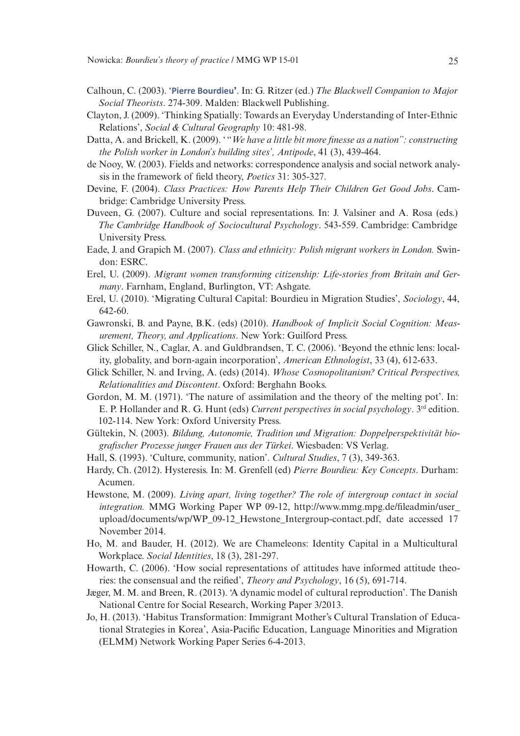- Calhoun, C. (2003). '**[Pierre Bourdieu](http://eprints.lse.ac.uk/42559/)'**. In: G. Ritzer (ed.) *The Blackwell Companion to Major Social Theorists*. 274-309. Malden: Blackwell Publishing.
- Clayton, J. (2009). 'Thinking Spatially: Towards an Everyday Understanding of Inter-Ethnic Relations', *Social & Cultural Geography* 10: 481-98.
- Datta, A. and Brickell, K. (2009). "*We have a little bit more finesse as a nation*": *constructing the Polish worker in London's building sites', Antipode*, 41 (3), 439-464.
- de Nooy, W. (2003). Fields and networks: correspondence analysis and social network analysis in the framework of field theory, *Poetics* 31: 305-327.
- Devine, F. (2004). *Class Practices: How Parents Help Their Children Get Good Jobs*. Cambridge: Cambridge University Press.
- Duveen, G. (2007). Culture and social representations. In: J. Valsiner and A. Rosa (eds.) *The Cambridge Handbook of Sociocultural Psychology*. 543-559. Cambridge: Cambridge University Press.
- Eade, J. and Grapich M. (2007). *Class and ethnicity: Polish migrant workers in London.* Swindon: ESRC.
- Erel, U. (2009). *Migrant women transforming citizenship: Life-stories from Britain and Germany*. Farnham, England, Burlington, VT: Ashgate.
- Erel, U. (2010). 'Migrating Cultural Capital: Bourdieu in Migration Studies', *Sociology*, 44, 642-60.
- Gawronski, B. and Payne, B.K. (eds) (2010). *Handbook of Implicit Social Cognition: Measurement, Theory, and Applications*. New York: Guilford Press.
- Glick Schiller, N., Caglar, A. and Guldbrandsen, T. C. (2006). 'Beyond the ethnic lens: locality, globality, and born-again incorporation', *American Ethnologist*, 33 (4), 612-633.
- Glick Schiller, N. and Irving, A. (eds) (2014). *Whose Cosmopolitanism? Critical Perspectives, Relationalities and Discontent*. Oxford: Berghahn Books.
- Gordon, M. M. (1971). 'The nature of assimilation and the theory of the melting pot'. In: E. P. Hollander and R. G. Hunt (eds) *Current perspectives in social psychology*. 3rd edition. 102-114. New York: Oxford University Press.
- Gültekin, N. (2003). *Bildung, Autonomie, Tradition und Migration: Doppelperspektivität biografischer Prozesse junger Frauen aus der Türkei*. Wiesbaden: VS Verlag.
- Hall, S. (1993). 'Culture, community, nation'. *Cultural Studies*, 7 (3), 349-363.
- Hardy, Ch. (2012). Hysteresis. In: M. Grenfell (ed) *Pierre Bourdieu: Key Concepts*. Durham: Acumen.
- Hewstone, M. (2009). *Living apart, living together? The role of intergroup contact in social integration.* MMG Working Paper WP 09-12, http://www.mmg.mpg.de/fileadmin/user\_ upload/documents/wp/WP\_09-12\_Hewstone\_Intergroup-contact.pdf, date accessed 17 November 2014.
- Ho, M. and Bauder, H. (2012). We are Chameleons: Identity Capital in a Multicultural Workplace. *Social Identities*, 18 (3), 281-297.
- Howarth, C. (2006). 'How social representations of attitudes have informed attitude theories: the consensual and the reified', *Theory and Psychology*, 16 (5), 691-714.
- Jæger, M. M. and Breen, R. (2013). 'A dynamic model of cultural reproduction'. The Danish National Centre for Social Research, Working Paper 3/2013.
- Jo, H. (2013). 'Habitus Transformation: Immigrant Mother's Cultural Translation of Educational Strategies in Korea', Asia-Pacific Education, Language Minorities and Migration (ELMM) Network Working Paper Series 6-4-2013.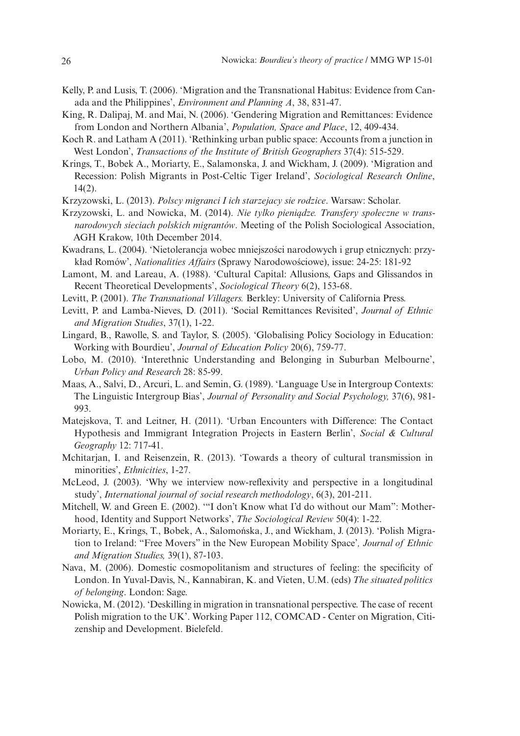- Kelly, P. and Lusis, T. (2006). 'Migration and the Transnational Habitus: Evidence from Canada and the Philippines', *Environment and Planning A*, 38, 831-47.
- King, R. Dalipaj, M. and Mai, N. (2006). 'Gendering Migration and Remittances: Evidence from London and Northern Albania', *Population, Space and Place*, 12, 409-434.
- Koch R. and Latham A (2011). 'Rethinking urban public space: Accounts from a junction in West London', *Transactions of the Institute of British Geographers* 37(4): 515-529.
- Krings, T., Bobek A., Moriarty, E., Salamonska, J. and Wickham, J. (2009). 'Migration and Recession: Polish Migrants in Post-Celtic Tiger Ireland', *Sociological Research Online*, 14(2).
- Krzyzowski, L. (2013). *Polscy migranci I ich starzejacy sie rodzice*. Warsaw: Scholar.
- Krzyzowski, L. and Nowicka, M. (2014). *Nie tylko pieniądze. Transfery społeczne w transnarodowych sieciach polskich migrantów*. Meeting of the Polish Sociological Association, AGH Krakow, 10th December 2014.
- Kwadrans, L. (2004). 'Nietolerancja wobec mniejszości narodowych i grup etnicznych: przykład Romów', *Nationalities Affairs* (Sprawy Narodowościowe), issue: 24-25: 181-92
- Lamont, M. and Lareau, A. (1988). 'Cultural Capital: Allusions, Gaps and Glissandos in Recent Theoretical Developments', *Sociological Theory* 6(2), 153-68.
- Levitt, P. (2001). *The Transnational Villagers.* Berkley: University of California Press.
- Levitt, P. and Lamba-Nieves, D. (2011). 'Social Remittances Revisited', *Journal of Ethnic and Migration Studies*, 37(1), 1-22.
- Lingard, B., Rawolle, S. and Taylor, S. (2005). 'Globalising Policy Sociology in Education: Working with Bourdieu', *Journal of Education Policy* 20(6), 759-77.
- Lobo, M. (2010). 'Interethnic Understanding and Belonging in Suburban Melbourne', *Urban Policy and Research* 28: 85-99.
- Maas, A., Salvi, D., Arcuri, L. and Semin, G. (1989). 'Language Use in Intergroup Contexts: The Linguistic Intergroup Bias', *Journal of Personality and Social Psychology,* 37(6), 981- 993.
- Matejskova, T. and Leitner, H. (2011). 'Urban Encounters with Difference: The Contact Hypothesis and Immigrant Integration Projects in Eastern Berlin', *Social & Cultural Geography* 12: 717-41.
- Mchitarjan, I. and Reisenzein, R. (2013). 'Towards a theory of cultural transmission in minorities', *Ethnicities*, 1-27.
- McLeod, J. (2003). 'Why we interview now-reflexivity and perspective in a longitudinal study', *International journal of social research methodology*, 6(3), 201-211.
- Mitchell, W. and Green E. (2002). '"I don't Know what I'd do without our Mam": Motherhood, Identity and Support Networks', *The Sociological Review* 50(4): 1-22.
- Moriarty, E., Krings, T., Bobek, A., Salomońska, J., and Wickham, J. (2013). 'Polish Migration to Ireland: "Free Movers" in the New European Mobility Space'*, Journal of Ethnic and Migration Studies,* 39(1), 87-103.
- Nava, M. (2006). Domestic cosmopolitanism and structures of feeling: the specificity of London. In Yuval-Davis, N., Kannabiran, K. and Vieten, U.M. (eds) *The situated politics of belonging*. London: Sage.
- Nowicka, M. (2012). 'Deskilling in migration in transnational perspective. The case of recent Polish migration to the UK'. Working Paper 112, COMCAD - Center on Migration, Citizenship and Development. Bielefeld.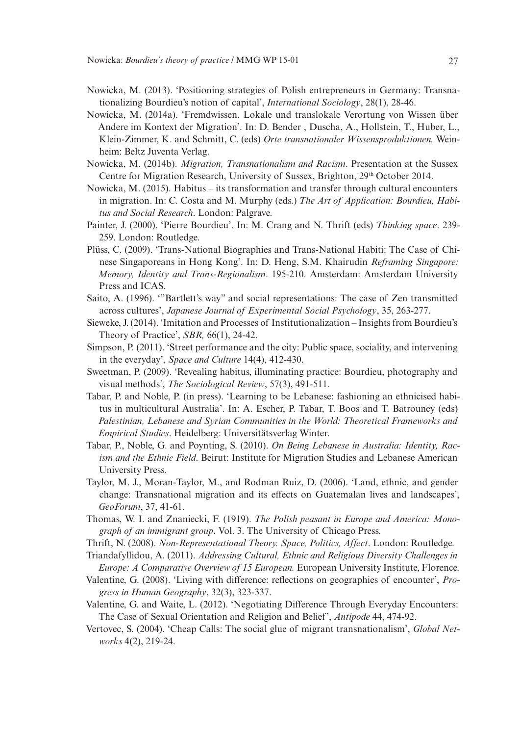- Nowicka, M. (2013). 'Positioning strategies of Polish entrepreneurs in Germany: Transnationalizing Bourdieu's notion of capital', *International Sociology*, 28(1), 28-46.
- Nowicka, M. (2014a). 'Fremdwissen. Lokale und translokale Verortung von Wissen über Andere im Kontext der Migration'. In: D. Bender , Duscha, A., Hollstein, T., Huber, L., Klein-Zimmer, K. and Schmitt, C. (eds) *Orte transnationaler Wissensproduktionen.* Weinheim: Beltz Juventa Verlag.
- Nowicka, M. (2014b). *Migration, Transnationalism and Racism*. Presentation at the Sussex Centre for Migration Research, University of Sussex, Brighton, 29th October 2014.
- Nowicka, M. (2015). Habitus its transformation and transfer through cultural encounters in migration. In: C. Costa and M. Murphy (eds.) *The Art of Application: Bourdieu, Habitus and Social Research*. London: Palgrave.
- Painter, J. (2000). 'Pierre Bourdieu'. In: M. Crang and N. Thrift (eds) *Thinking space*. 239- 259. London: Routledge.
- Plüss, C. (2009). 'Trans-National Biographies and Trans-National Habiti: The Case of Chinese Singaporeans in Hong Kong'. In: D. Heng, S.M. Khairudin *Reframing Singapore: Memory, Identity and Trans-Regionalism*. 195-210. Amsterdam: Amsterdam University Press and ICAS.
- Saito, A. (1996). '"Bartlett's way" and social representations: The case of Zen transmitted across cultures', *Japanese Journal of Experimental Social Psychology*, 35, 263-277.
- Sieweke, J. (2014). 'Imitation and Processes of Institutionalization Insights from Bourdieu's Theory of Practice', *SBR,* 66(1), 24-42.
- Simpson, P. (2011). 'Street performance and the city: Public space, sociality, and intervening in the everyday', *Space and Culture* 14(4), 412-430.
- Sweetman, P. (2009). 'Revealing habitus, illuminating practice: Bourdieu, photography and visual methods', *The Sociological Review*, 57(3), 491-511.
- Tabar, P. and Noble, P. (in press). 'Learning to be Lebanese: fashioning an ethnicised habitus in multicultural Australia'. In: A. Escher, P. Tabar, T. Boos and T. Batrouney (eds) *Palestinian, Lebanese and Syrian Communities in the World: Theoretical Frameworks and Empirical Studies*. Heidelberg: Universitätsverlag Winter.
- Tabar, P., Noble, G. and Poynting, S. (2010). *On Being Lebanese in Australia: Identity, Racism and the Ethnic Field*. Beirut: Institute for Migration Studies and Lebanese American University Press.
- Taylor, M. J., Moran-Taylor, M., and Rodman Ruiz, D. (2006). 'Land, ethnic, and gender change: Transnational migration and its effects on Guatemalan lives and landscapes', *GeoForum*, 37, 41-61.
- Thomas, W. I. and Znaniecki, F. (1919). *The Polish peasant in Europe and America: Monograph of an immigrant group*. Vol. 3. The University of Chicago Press.
- Thrift, N. (2008). *Non-Representational Theory. Space, Politics, Affect*. London: Routledge.
- Triandafyllidou, A. (2011). *Addressing Cultural, Ethnic and Religious Diversity Challenges in Europe: A Comparative Overview of 15 European.* European University Institute, Florence.
- Valentine, G. (2008). 'Living with difference: reflections on geographies of encounter', *Progress in Human Geography*, 32(3), 323-337.
- Valentine, G. and Waite, L. (2012). 'Negotiating Difference Through Everyday Encounters: The Case of Sexual Orientation and Religion and Belief', *Antipode* 44, 474-92.
- Vertovec, S. (2004). 'Cheap Calls: The social glue of migrant transnationalism', *Global Networks* 4(2), 219-24.